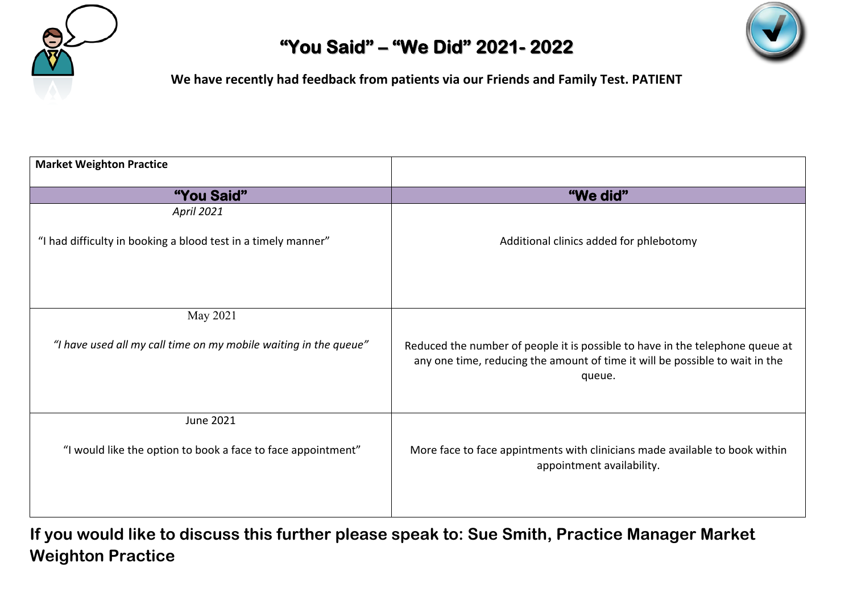



**We have recently had feedback from patients via our Friends and Family Test. PATIENT**

| <b>Market Weighton Practice</b>                                  |                                                                                                                                                                         |
|------------------------------------------------------------------|-------------------------------------------------------------------------------------------------------------------------------------------------------------------------|
| "You Said"                                                       | "We did"                                                                                                                                                                |
| <b>April 2021</b>                                                |                                                                                                                                                                         |
| "I had difficulty in booking a blood test in a timely manner"    | Additional clinics added for phlebotomy                                                                                                                                 |
| May 2021                                                         |                                                                                                                                                                         |
| "I have used all my call time on my mobile waiting in the queue" | Reduced the number of people it is possible to have in the telephone queue at<br>any one time, reducing the amount of time it will be possible to wait in the<br>queue. |
| June 2021                                                        |                                                                                                                                                                         |
| "I would like the option to book a face to face appointment"     | More face to face appintments with clinicians made available to book within<br>appointment availability.                                                                |
|                                                                  |                                                                                                                                                                         |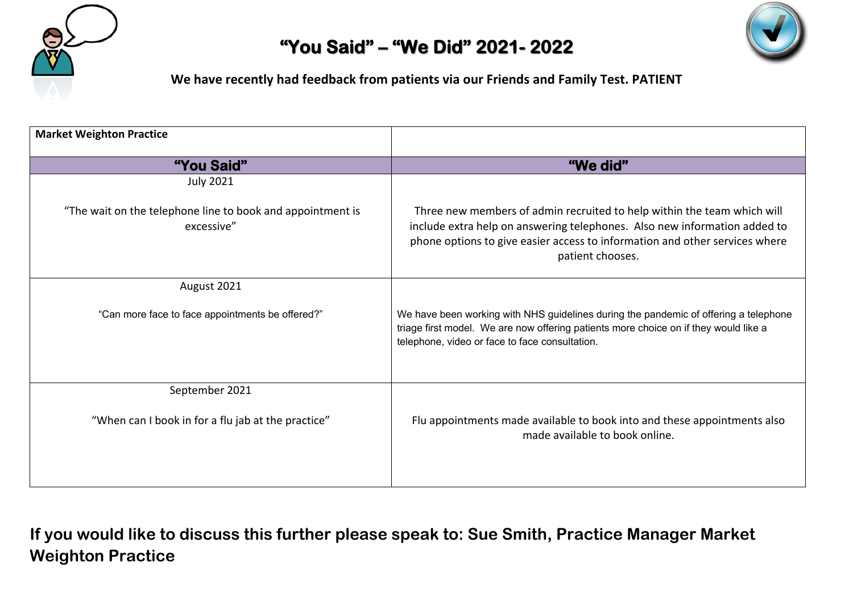



**We have recently had feedback from patients via our Friends and Family Test. PATIENT**

| <b>Market Weighton Practice</b>                                          |                                                                                                                                                                                                                                                         |
|--------------------------------------------------------------------------|---------------------------------------------------------------------------------------------------------------------------------------------------------------------------------------------------------------------------------------------------------|
| "You Said"                                                               | "We did"                                                                                                                                                                                                                                                |
| <b>July 2021</b>                                                         |                                                                                                                                                                                                                                                         |
| "The wait on the telephone line to book and appointment is<br>excessive" | Three new members of admin recruited to help within the team which will<br>include extra help on answering telephones. Also new information added to<br>phone options to give easier access to information and other services where<br>patient chooses. |
| August 2021                                                              |                                                                                                                                                                                                                                                         |
| "Can more face to face appointments be offered?"                         | We have been working with NHS guidelines during the pandemic of offering a telephone<br>triage first model. We are now offering patients more choice on if they would like a<br>telephone, video or face to face consultation.                          |
| September 2021                                                           |                                                                                                                                                                                                                                                         |
| "When can I book in for a flu jab at the practice"                       | Flu appointments made available to book into and these appointments also<br>made available to book online.                                                                                                                                              |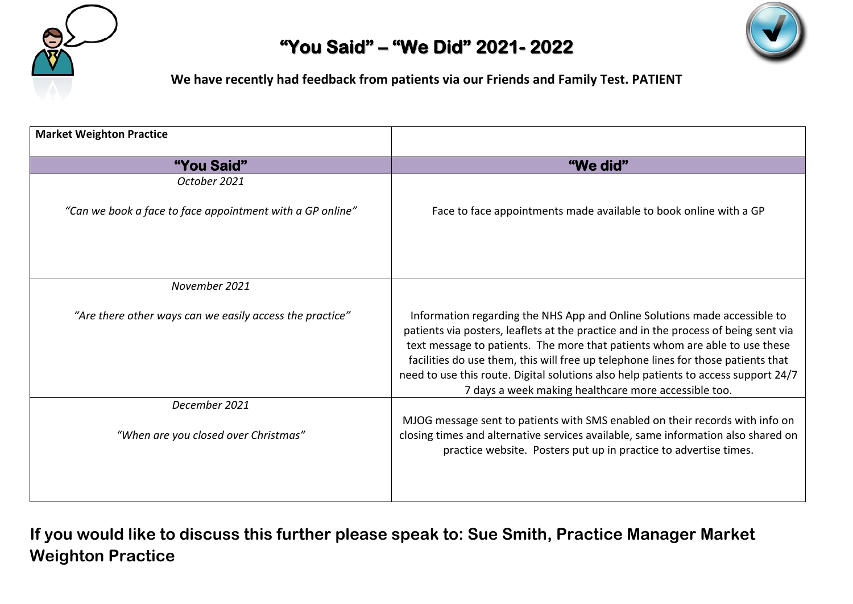



**We have recently had feedback from patients via our Friends and Family Test. PATIENT**

| <b>Market Weighton Practice</b>                           |                                                                                                                                                                                                                                                                                                                                                                                                                                                                                     |
|-----------------------------------------------------------|-------------------------------------------------------------------------------------------------------------------------------------------------------------------------------------------------------------------------------------------------------------------------------------------------------------------------------------------------------------------------------------------------------------------------------------------------------------------------------------|
| "You Said"                                                | "We did"                                                                                                                                                                                                                                                                                                                                                                                                                                                                            |
| October 2021                                              |                                                                                                                                                                                                                                                                                                                                                                                                                                                                                     |
| "Can we book a face to face appointment with a GP online" | Face to face appointments made available to book online with a GP                                                                                                                                                                                                                                                                                                                                                                                                                   |
| November 2021                                             |                                                                                                                                                                                                                                                                                                                                                                                                                                                                                     |
| "Are there other ways can we easily access the practice"  | Information regarding the NHS App and Online Solutions made accessible to<br>patients via posters, leaflets at the practice and in the process of being sent via<br>text message to patients. The more that patients whom are able to use these<br>facilities do use them, this will free up telephone lines for those patients that<br>need to use this route. Digital solutions also help patients to access support 24/7<br>7 days a week making healthcare more accessible too. |
| December 2021                                             |                                                                                                                                                                                                                                                                                                                                                                                                                                                                                     |
| "When are you closed over Christmas"                      | MJOG message sent to patients with SMS enabled on their records with info on<br>closing times and alternative services available, same information also shared on<br>practice website. Posters put up in practice to advertise times.                                                                                                                                                                                                                                               |
|                                                           |                                                                                                                                                                                                                                                                                                                                                                                                                                                                                     |